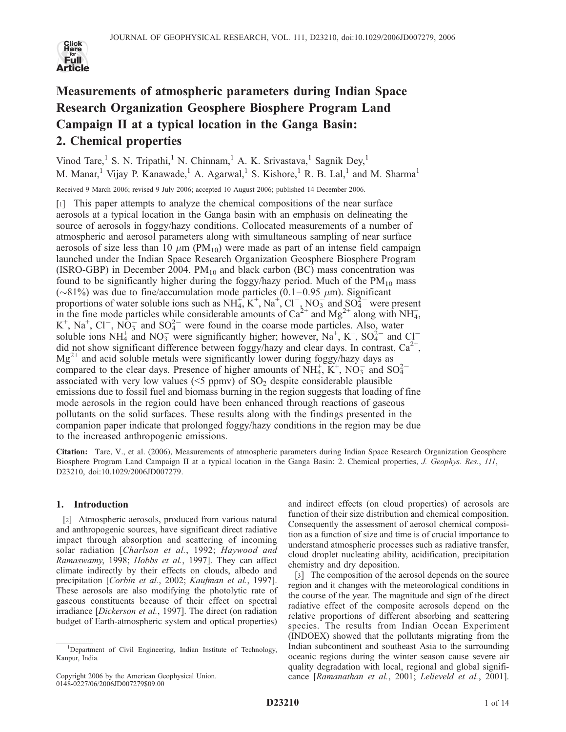

# Measurements of atmospheric parameters during Indian Space Research Organization Geosphere Biosphere Program Land Campaign II at a typical location in the Ganga Basin: 2. Chemical properties

Vinod Tare,<sup>1</sup> S. N. Tripathi,<sup>1</sup> N. Chinnam,<sup>1</sup> A. K. Srivastava,<sup>1</sup> Sagnik Dey,<sup>1</sup> M. Manar,<sup>1</sup> Vijay P. Kanawade,<sup>1</sup> A. Agarwal,<sup>1</sup> S. Kishore,<sup>1</sup> R. B. Lal,<sup>1</sup> and M. Sharma<sup>1</sup>

Received 9 March 2006; revised 9 July 2006; accepted 10 August 2006; published 14 December 2006.

[1] This paper attempts to analyze the chemical compositions of the near surface aerosols at a typical location in the Ganga basin with an emphasis on delineating the source of aerosols in foggy/hazy conditions. Collocated measurements of a number of atmospheric and aerosol parameters along with simultaneous sampling of near surface aerosols of size less than 10  $\mu$ m (PM<sub>10</sub>) were made as part of an intense field campaign launched under the Indian Space Research Organization Geosphere Biosphere Program (ISRO-GBP) in December 2004.  $PM_{10}$  and black carbon (BC) mass concentration was found to be significantly higher during the foggy/hazy period. Much of the  $PM_{10}$  mass ( $\sim$ 81%) was due to fine/accumulation mode particles (0.1–0.95  $\mu$ m). Significant proportions of water soluble ions such as  $NH_4^+, K^+, Na^+, Cl^-, NO_3^-$  and  $SO_4^{2-}$  were present in the fine mode particles while considerable amounts of  $Ca^{2+}$  and  $Mg^{2+}$  along with NH<sub>4</sub>, K<sup>+</sup>, Na<sup>+</sup>, Cl<sup>-</sup>, NO<sub>3</sub> and SO<sub>4</sub><sup>-</sup> were found in the coarse mode particles. Also, water soluble ions NH<sub>4</sub> and NO<sub>3</sub> were significantly higher; however, Na<sup>+</sup>, K<sup>+</sup>, SO<sub>4</sub><sup>2</sup> and Cl<sup>-</sup> did not show significant difference between foggy/hazy and clear days. In contrast,  $Ca^{2+}$ ,  $Mg^{2+}$  and acid soluble metals were significantly lower during foggy/hazy days as compared to the clear days. Presence of higher amounts of  $NH_4^+$ ,  $K^+$ ,  $NO_3^-$  and  $SO_4^{2-}$ associated with very low values ( $\leq$ 5 ppmv) of SO<sub>2</sub> despite considerable plausible emissions due to fossil fuel and biomass burning in the region suggests that loading of fine mode aerosols in the region could have been enhanced through reactions of gaseous pollutants on the solid surfaces. These results along with the findings presented in the companion paper indicate that prolonged foggy/hazy conditions in the region may be due to the increased anthropogenic emissions.

Citation: Tare, V., et al. (2006), Measurements of atmospheric parameters during Indian Space Research Organization Geosphere Biosphere Program Land Campaign II at a typical location in the Ganga Basin: 2. Chemical properties, J. Geophys. Res., 111, D23210, doi:10.1029/2006JD007279.

# 1. Introduction

[2] Atmospheric aerosols, produced from various natural and anthropogenic sources, have significant direct radiative impact through absorption and scattering of incoming solar radiation [Charlson et al., 1992; Haywood and Ramaswamy, 1998; Hobbs et al., 1997]. They can affect climate indirectly by their effects on clouds, albedo and precipitation [Corbin et al., 2002; Kaufman et al., 1997]. These aerosols are also modifying the photolytic rate of gaseous constituents because of their effect on spectral irradiance [Dickerson et al., 1997]. The direct (on radiation budget of Earth-atmospheric system and optical properties)

and indirect effects (on cloud properties) of aerosols are function of their size distribution and chemical composition. Consequently the assessment of aerosol chemical composition as a function of size and time is of crucial importance to understand atmospheric processes such as radiative transfer, cloud droplet nucleating ability, acidification, precipitation chemistry and dry deposition.

[3] The composition of the aerosol depends on the source region and it changes with the meteorological conditions in the course of the year. The magnitude and sign of the direct radiative effect of the composite aerosols depend on the relative proportions of different absorbing and scattering species. The results from Indian Ocean Experiment (INDOEX) showed that the pollutants migrating from the Indian subcontinent and southeast Asia to the surrounding oceanic regions during the winter season cause severe air quality degradation with local, regional and global significance [Ramanathan et al., 2001; Lelieveld et al., 2001].

<sup>&</sup>lt;sup>1</sup>Department of Civil Engineering, Indian Institute of Technology, Kanpur, India.

Copyright 2006 by the American Geophysical Union. 0148-0227/06/2006JD007279\$09.00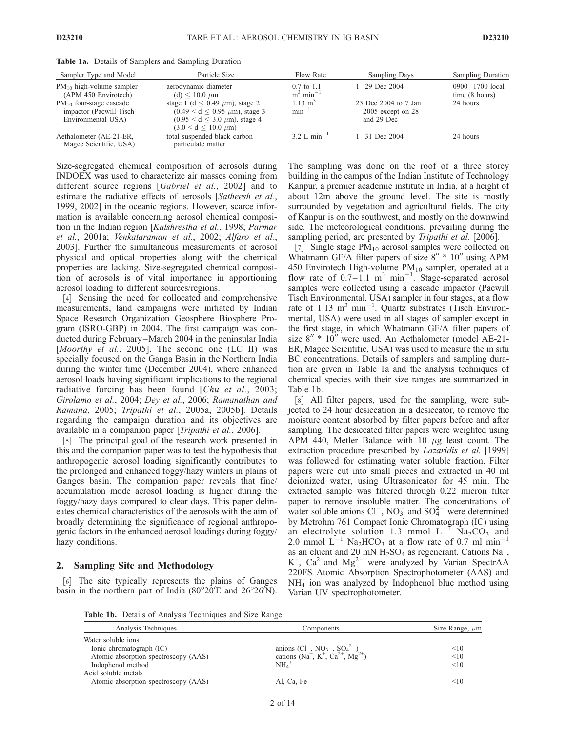| Sampler Type and Model                                                        | Particle Size                                                                                                                                     | Flow Rate                                        | <b>Sampling Days</b>                                      | <b>Sampling Duration</b>                        |
|-------------------------------------------------------------------------------|---------------------------------------------------------------------------------------------------------------------------------------------------|--------------------------------------------------|-----------------------------------------------------------|-------------------------------------------------|
| $PM_{10}$ high-volume sampler<br>(APM 450 Envirotech)                         | aerodynamic diameter<br>(d) $< 10.0 \mu m$                                                                                                        | $0.7 \text{ to } 1.1$<br>$m^3$ min <sup>-1</sup> | $1-29$ Dec 2004                                           | $0900 - 1700$ local<br>time $(8 \text{ hours})$ |
| $PM_{10}$ four-stage cascade<br>impactor (Pacwill Tisch<br>Environmental USA) | stage 1 (d $\leq$ 0.49 $\mu$ m), stage 2<br>$(0.49 < d < 0.95 \mu m)$ , stage 3<br>$(0.95 < d < 3.0 \mu m)$ , stage 4<br>$(3.0 < d < 10.0 \mu m)$ | $1.13 \text{ m}^3$<br>$min^{-1}$                 | 25 Dec 2004 to 7 Jan<br>$2005$ except on 28<br>and 29 Dec | 24 hours                                        |
| Aethalometer (AE-21-ER,<br>Magee Scientific, USA)                             | total suspended black carbon<br>particulate matter                                                                                                | 3.2 L min <sup>-1</sup>                          | $1 - 31$ Dec 2004                                         | 24 hours                                        |

Table 1a. Details of Samplers and Sampling Duration

Size-segregated chemical composition of aerosols during INDOEX was used to characterize air masses coming from different source regions [Gabriel et al., 2002] and to estimate the radiative effects of aerosols [Satheesh et al., 1999, 2002] in the oceanic regions. However, scarce information is available concerning aerosol chemical composition in the Indian region [Kulshrestha et al., 1998; Parmar et al., 2001a; Venkataraman et al., 2002; Alfaro et al., 2003]. Further the simultaneous measurements of aerosol physical and optical properties along with the chemical properties are lacking. Size-segregated chemical composition of aerosols is of vital importance in apportioning aerosol loading to different sources/regions.

[4] Sensing the need for collocated and comprehensive measurements, land campaigns were initiated by Indian Space Research Organization Geosphere Biosphere Program (ISRO-GBP) in 2004. The first campaign was conducted during February –March 2004 in the peninsular India [Moorthy et al., 2005]. The second one  $(LC II)$  was specially focused on the Ganga Basin in the Northern India during the winter time (December 2004), where enhanced aerosol loads having significant implications to the regional radiative forcing has been found [Chu et al., 2003; Girolamo et al., 2004; Dey et al., 2006; Ramanathan and Ramana, 2005; Tripathi et al., 2005a, 2005b]. Details regarding the campaign duration and its objectives are available in a companion paper [Tripathi et al., 2006].

[5] The principal goal of the research work presented in this and the companion paper was to test the hypothesis that anthropogenic aerosol loading significantly contributes to the prolonged and enhanced foggy/hazy winters in plains of Ganges basin. The companion paper reveals that fine/ accumulation mode aerosol loading is higher during the foggy/hazy days compared to clear days. This paper delineates chemical characteristics of the aerosols with the aim of broadly determining the significance of regional anthropogenic factors in the enhanced aerosol loadings during foggy/ hazy conditions.

### 2. Sampling Site and Methodology

[6] The site typically represents the plains of Ganges basin in the northern part of India  $(80^{\circ}20'E$  and  $26^{\circ}26'N)$ .

The sampling was done on the roof of a three storey building in the campus of the Indian Institute of Technology Kanpur, a premier academic institute in India, at a height of about 12m above the ground level. The site is mostly surrounded by vegetation and agricultural fields. The city of Kanpur is on the southwest, and mostly on the downwind side. The meteorological conditions, prevailing during the sampling period, are presented by *Tripathi et al.* [2006].

[7] Single stage  $PM_{10}$  aerosol samples were collected on Whatmann GF/A filter papers of size  $8'' * 10''$  using APM 450 Envirotech High-volume  $PM_{10}$  sampler, operated at a flow rate of  $0.7 - 1.1$  m<sup>3</sup> min<sup>-1</sup>. Stage-separated aerosol samples were collected using a cascade impactor (Pacwill Tisch Environmental, USA) sampler in four stages, at a flow rate of 1.13  $m^3$  min<sup>-1</sup>. Quartz substrates (Tisch Environmental, USA) were used in all stages of sampler except in the first stage, in which Whatmann GF/A filter papers of size  $8'' * 10''$  were used. An Aethalometer (model AE-21-ER, Magee Scientific, USA) was used to measure the in situ BC concentrations. Details of samplers and sampling duration are given in Table 1a and the analysis techniques of chemical species with their size ranges are summarized in Table 1b.

[8] All filter papers, used for the sampling, were subjected to 24 hour desiccation in a desiccator, to remove the moisture content absorbed by filter papers before and after sampling. The desiccated filter papers were weighted using APM 440, Metler Balance with 10  $\mu$ g least count. The extraction procedure prescribed by Lazaridis et al. [1999] was followed for estimating water soluble fraction. Filter papers were cut into small pieces and extracted in 40 ml deionized water, using Ultrasonicator for 45 min. The extracted sample was filtered through 0.22 micron filter paper to remove insoluble matter. The concentrations of water soluble anions  $Cl^-$ ,  $NO_3^-$  and  $SO_4^{2-}$  were determined by Metrohm 761 Compact Ionic Chromatograph (IC) using an electrolyte solution 1.3 mmol  $L^{-1}$  Na<sub>2</sub>CO<sub>3</sub> and 2.0 mmol  $\text{L}^{-1}$  Na<sub>2</sub>HCO<sub>3</sub> at a flow rate of 0.7 ml min<sup>-1</sup> as an eluent and  $20 \text{ mN H}_2$ SO<sub>4</sub> as regenerant. Cations Na<sup>+</sup>,  $K^+$ , Ca<sup>2+</sup>and Mg<sup>2+</sup> were analyzed by Varian SpectrAA 220FS Atomic Absorption Spectrophotometer (AAS) and NH4 <sup>+</sup> ion was analyzed by Indophenol blue method using Varian UV spectrophotometer.

Table 1b. Details of Analysis Techniques and Size Range

| <b>Table To:</b> Deaths of Thiatysis Teeningues and Size Kange |                                                                               |                     |
|----------------------------------------------------------------|-------------------------------------------------------------------------------|---------------------|
| Analysis Techniques                                            | Components                                                                    | Size Range, $\mu$ m |
| Water soluble ions                                             |                                                                               |                     |
| Ionic chromatograph (IC)                                       |                                                                               | <10                 |
| Atomic absorption spectroscopy (AAS)                           | anions $(Cl^-, NO_3^-, SO_4^{2-})$<br>cations $(Na^+, K^+, Ca^{2+}, Mg^{2+})$ | <10                 |
| Indophenol method                                              | $NH4$ <sup>+</sup>                                                            | <10                 |
| Acid soluble metals                                            |                                                                               |                     |
| Atomic absorption spectroscopy (AAS)                           | Al, Ca, Fe                                                                    | $<$ 10              |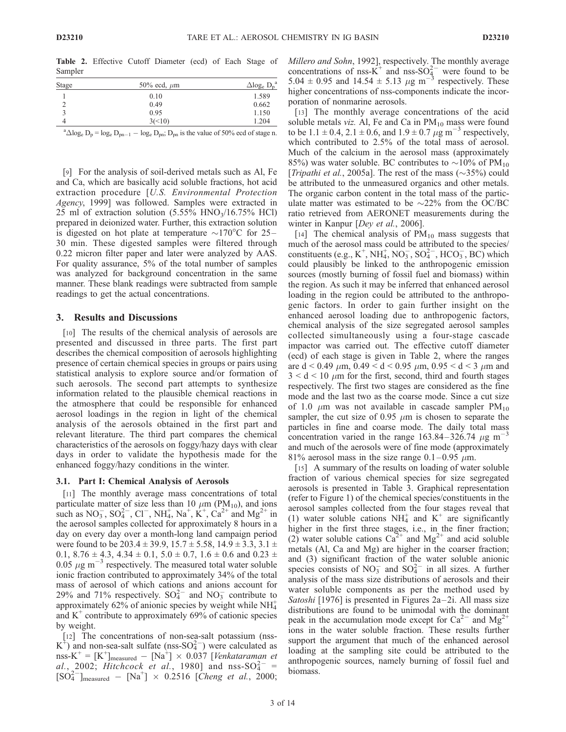Table 2. Effective Cutoff Diameter (ecd) of Each Stage of Sampler

| <b>Stage</b> | 50% ecd, $\mu$ m | $\Delta$ log <sub>e</sub> D <sub>p</sub> |
|--------------|------------------|------------------------------------------|
|              | 0.10             | 1.589                                    |
|              | 0.49             | 0.662                                    |
|              | 0.95             | 1.150                                    |
| 4            | 3(<10)           | 1.204                                    |

<sup>a</sup> $\triangle$ log<sub>e</sub> D<sub>p</sub> = log<sub>e</sub> D<sub>pn-1</sub> - log<sub>e</sub> D<sub>pn</sub>; D<sub>pn</sub> is the value of 50% ecd of stage n.

[9] For the analysis of soil-derived metals such as Al, Fe and Ca, which are basically acid soluble fractions, hot acid extraction procedure [U.S. Environmental Protection Agency, 1999] was followed. Samples were extracted in 25 ml of extraction solution  $(5.55\% \text{ HNO}_3/16.75\% \text{ HCl})$ prepared in deionized water. Further, this extraction solution is digested on hot plate at temperature  $\sim$ 170°C for 25– 30 min. These digested samples were filtered through 0.22 micron filter paper and later were analyzed by AAS. For quality assurance, 5% of the total number of samples was analyzed for background concentration in the same manner. These blank readings were subtracted from sample readings to get the actual concentrations.

### 3. Results and Discussions

[10] The results of the chemical analysis of aerosols are presented and discussed in three parts. The first part describes the chemical composition of aerosols highlighting presence of certain chemical species in groups or pairs using statistical analysis to explore source and/or formation of such aerosols. The second part attempts to synthesize information related to the plausible chemical reactions in the atmosphere that could be responsible for enhanced aerosol loadings in the region in light of the chemical analysis of the aerosols obtained in the first part and relevant literature. The third part compares the chemical characteristics of the aerosols on foggy/hazy days with clear days in order to validate the hypothesis made for the enhanced foggy/hazy conditions in the winter.

#### 3.1. Part I: Chemical Analysis of Aerosols

[11] The monthly average mass concentrations of total particulate matter of size less than 10  $\mu$ m (PM<sub>10</sub>), and ions such as  $NO_3^-$ ,  $SO_4^{2-}$ ,  $Cl^-$ ,  $NH_4^+$ ,  $Na^+$ ,  $K^+$ ,  $Ca^{2+}$  and  $Mg^{2+}$  in the aerosol samples collected for approximately 8 hours in a day on every day over a month-long land campaign period were found to be 203.4  $\pm$  39.9, 15.7  $\pm$  5.58, 14.9  $\pm$  3.3, 3.1  $\pm$ 0.1,  $8.76 \pm 4.3$ ,  $4.34 \pm 0.1$ ,  $5.0 \pm 0.7$ ,  $1.6 \pm 0.6$  and  $0.23 \pm 0.7$ 0.05  $\mu$ g m<sup>-3</sup> respectively. The measured total water soluble ionic fraction contributed to approximately 34% of the total mass of aerosol of which cations and anions account for 29% and 71% respectively.  $SO_4^{2-}$  and  $NO_3^-$  contribute to approximately 62% of anionic species by weight while  $NH_4^+$ and  $K^+$  contribute to approximately 69% of cationic species by weight.

[12] The concentrations of non-sea-salt potassium (nss- $K^+$ ) and non-sea-salt sulfate (nss-SO $^{2-}_{4}$ ) were calculated as  $\text{nss-K}^+ = [\text{K}^+]_{\text{measured}} - [\text{Na}^+] \times 0.037$  [Venkataraman et al., 2002; Hitchcock et al., 1980] and nss-SO $_4^{2-}$  =  $[SO_4^{2-}]_{\text{measured}} - [Na^+] \times 0.2516$  [Cheng et al., 2000;

Millero and Sohn, 1992], respectively. The monthly average concentrations of nss- $K^+$  and nss- $SO_4^{2-}$  were found to be 5.04  $\pm$  0.95 and 14.54  $\pm$  5.13  $\mu$ g m<sup>-3</sup> respectively. These higher concentrations of nss-components indicate the incorporation of nonmarine aerosols.

[13] The monthly average concentrations of the acid soluble metals viz. Al, Fe and Ca in  $PM_{10}$  mass were found to be 1.1  $\pm$  0.4, 2.1  $\pm$  0.6, and 1.9  $\pm$  0.7  $\mu$ g m<sup>-3</sup> respectively, which contributed to 2.5% of the total mass of aerosol. Much of the calcium in the aerosol mass (approximately 85%) was water soluble. BC contributes to  $\sim$ 10% of PM<sub>10</sub> [*Tripathi et al.*, 2005a]. The rest of the mass  $(\sim 35\%)$  could be attributed to the unmeasured organics and other metals. The organic carbon content in the total mass of the particulate matter was estimated to be  $\sim$ 22% from the OC/BC ratio retrieved from AERONET measurements during the winter in Kanpur [*Dey et al.*, 2006].

[14] The chemical analysis of  $PM_{10}$  mass suggests that much of the aerosol mass could be attributed to the species/ constituents (e.g.,  $K^+$ , NH<sub>4</sub>, NO<sub>3</sub>, SO<sub>4</sub><sup>2</sup>, HCO<sub>3</sub>, BC) which could plausibly be linked to the anthropogenic emission sources (mostly burning of fossil fuel and biomass) within the region. As such it may be inferred that enhanced aerosol loading in the region could be attributed to the anthropogenic factors. In order to gain further insight on the enhanced aerosol loading due to anthropogenic factors, chemical analysis of the size segregated aerosol samples collected simultaneously using a four-stage cascade impactor was carried out. The effective cutoff diameter (ecd) of each stage is given in Table 2, where the ranges are d < 0.49  $\mu$ m, 0.49 < d < 0.95  $\mu$ m, 0.95 < d < 3  $\mu$ m and  $3 < d < 10 \mu m$  for the first, second, third and fourth stages respectively. The first two stages are considered as the fine mode and the last two as the coarse mode. Since a cut size of 1.0  $\mu$ m was not available in cascade sampler PM<sub>10</sub> sampler, the cut size of 0.95  $\mu$ m is chosen to separate the particles in fine and coarse mode. The daily total mass concentration varied in the range  $163.84 - 326.74 \mu g m^{-3}$ and much of the aerosols were of fine mode (approximately 81% aerosol mass in the size range  $0.1 - 0.95 \mu m$ .

[15] A summary of the results on loading of water soluble fraction of various chemical species for size segregated aerosols is presented in Table 3. Graphical representation (refer to Figure 1) of the chemical species/constituents in the aerosol samples collected from the four stages reveal that (1) water soluble cations NH<sub>4</sub><sup>+</sup> and K<sup>+</sup> are significantly higher in the first three stages, i.e., in the finer fraction; (2) water soluble cations  $Ca^{2+}$  and  $Mg^{2+}$  and acid soluble metals (Al, Ca and Mg) are higher in the coarser fraction; and (3) significant fraction of the water soluble anionic species consists of  $NO_3^-$  and  $SO_4^{2-}$  in all sizes. A further analysis of the mass size distributions of aerosols and their water soluble components as per the method used by Satoshi [1976] is presented in Figures  $2a-2i$ . All mass size distributions are found to be unimodal with the dominant peak in the accumulation mode except for  $Ca^{2-}$  and  $Mg^{2+}$ ions in the water soluble fraction. These results further support the argument that much of the enhanced aerosol loading at the sampling site could be attributed to the anthropogenic sources, namely burning of fossil fuel and biomass.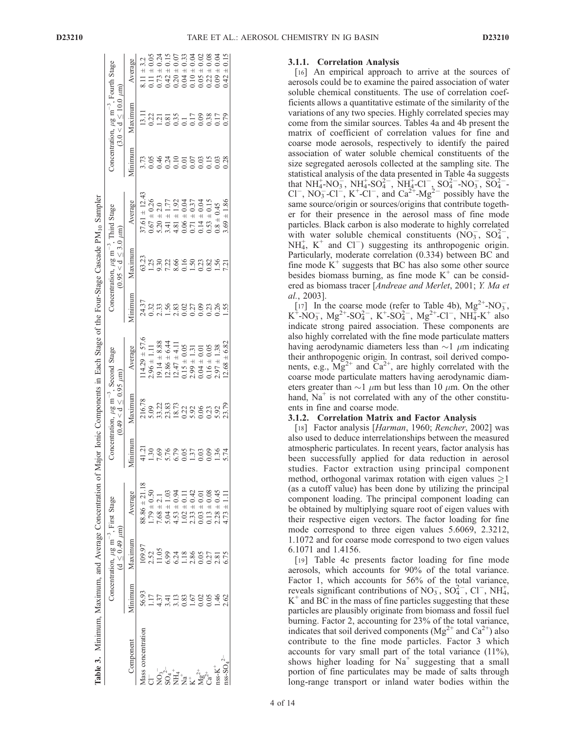| lable 3. Minimum, Maximum, and Average Concentration of Major Ionic Components in Each Stage of the Four-Stage Cascade PM <sub>10</sub> Sampler |         |                                                                                 |                   |              |                                                                                      |                  |                  |                                                                                     |                   |                      |                                                                                                 |                 |
|-------------------------------------------------------------------------------------------------------------------------------------------------|---------|---------------------------------------------------------------------------------|-------------------|--------------|--------------------------------------------------------------------------------------|------------------|------------------|-------------------------------------------------------------------------------------|-------------------|----------------------|-------------------------------------------------------------------------------------------------|-----------------|
|                                                                                                                                                 |         | Concentration, $\mu$ g m <sup>-3</sup> , First Stage<br>(d $\leq 0.49$ $\mu$ m) |                   |              | Concentration, $\mu$ g m <sup>-3</sup> , Second Stage<br>$(0.49 < d \le 0.95 \mu m)$ |                  |                  | Concentration, $\mu$ g m <sup>-3</sup> , Third Stage<br>$(0.95 < d \leq 3.0 \mu m)$ |                   |                      | Concentration, $\mu$ g m <sup>-3</sup> , Fourth Stage<br>$(3.0 < d < 10.0 \text{ }\mu\text{m})$ |                 |
| Component                                                                                                                                       | Minimum | Maximum                                                                         | Average           | Minimum      | Maximum                                                                              | Average          | Minimum          | Maximum                                                                             | Average           | Minimum              | Maximum                                                                                         | Average         |
| Mass concentration                                                                                                                              | 56.93   | 109.97                                                                          | $88.86 \pm 21.18$ | 41.21        | 216.78                                                                               | $14.29 \pm 57.6$ | 24.37            | 63.23                                                                               | $37.61 \pm 12.43$ | 3.73                 | 13.11                                                                                           | $8.11 \pm 3.2$  |
|                                                                                                                                                 | 117     | 2.52                                                                            | $1.79 \pm 0.50$   | 30           | 5.09                                                                                 | $2.96 \pm 1.11$  | 0.32             | 1.25                                                                                | $0.67 \pm 0.26$   |                      | 0.22                                                                                            | $0.11 \pm 0.05$ |
|                                                                                                                                                 | 1.37    | 11.05                                                                           | $7.68 \pm 2.1$    | 7.69         | 33.22                                                                                | $19.14 \pm 8.88$ | 2.33             | 9.30                                                                                | $5.20 \pm 2.0$    | 0.05                 | $\overline{c}$                                                                                  | $0.73 \pm 0.24$ |
| $\sum_{4}^{2}$                                                                                                                                  | 3.41    | 6.99                                                                            | $5.04 \pm 1.03$   |              | 23.83                                                                                | $12.86 \pm 6.44$ | 1.56             | 7.22                                                                                | $3.41 \pm 1.77$   |                      | 0.81                                                                                            | $0.42 \pm 0.15$ |
|                                                                                                                                                 | 3.13    | 5.24                                                                            | $4.53 \pm 0.94$   | 5.76<br>6.79 | 18.73                                                                                | $12.47 \pm 4.11$ | 2.83             | 8.66                                                                                | $4.81 \pm 1.92$   | 024<br>0000<br>00000 | 0.35                                                                                            | $0.20 \pm 0.07$ |
| +<br>ቿ*<br>2                                                                                                                                    | 0.83    | 18                                                                              | $1.02 \pm 0.1$    |              | 0.22                                                                                 | $0.15 \pm 0.05$  |                  | 0.16                                                                                | $0.06 \pm 0.04$   |                      | $\overline{0}$ .                                                                                | $0.04 \pm 0.33$ |
|                                                                                                                                                 | 1.67    | 2.86                                                                            | $2.33 \pm 0.42$   | 0.05         | 5.92                                                                                 | $2.99 \pm 1.31$  | $0.02$<br>$0.27$ | 1.50                                                                                | $0.71 \pm 0.37$   |                      | 0.17                                                                                            | $0.10 \pm 0.04$ |
| $Mg^{2+}_{2d}$                                                                                                                                  | 0.02    |                                                                                 | $0.03 \pm 0.01$   | 0.03         |                                                                                      | $0.04 \pm 0.01$  | 0.09             | 0.23                                                                                | $0.14 \pm 0.04$   |                      | 0.09                                                                                            | $0.05 \pm 0.02$ |
|                                                                                                                                                 | 0.05    | 0.27                                                                            | $0.13 \pm 0.08$   | 0.09         | 0.23                                                                                 | $0.16 \pm 0.05$  | 0.23             | 0.82                                                                                | $0.53 \pm 0.15$   | 0.15                 | 0.38                                                                                            | $0.22 \pm 0.08$ |
| $nss-K$ <sup>+</sup>                                                                                                                            | $-46$   | 2.81                                                                            | $2.28 \pm 0.45$   | 1.36         | 5.92                                                                                 | $2.97 \pm 1.38$  | 0.26             | 1.56                                                                                | $0.8 \pm 0.45$    | 0.03                 | 0.17                                                                                            | $0.09 \pm 0.04$ |
| $\frac{\text{nss-SO}_{4}}{2}$                                                                                                                   | 2.62    | 6.75                                                                            | $4.73 \pm 1.1$    | 5.74         | 23.79                                                                                | $12.68 \pm 6.82$ | 1.55             | 7.21                                                                                | $3.69 \pm 1.86$   | 0.28                 | 0.79                                                                                            | $0.42 \pm 0.15$ |

### 3.1.1. Correlation Analysis

[16] An empirical approach to arrive at the sources of aerosols could be to examine the paired association of water soluble chemical constituents. The use of correlation coefficients allows a quantitative estimate of the similarity of the variations of any two species. Highly correlated species may come from the similar sources. Tables 4a and 4b present the matrix of coefficient of correlation values for fine and coarse mode aerosols, respectively to identify the paired association of water soluble chemical constituents of the size segregated aerosols collected at the sampling site. The statistical analysis of the data presented in Table 4a suggests that NH<sub>4</sub>-NO<sub>3</sub>, NH<sub>4</sub>-SO<sub>4</sub><sup>-</sup>, NH<sub>4</sub>-Cl<sup>-</sup>, SO<sub>4</sub><sup>-</sup>-NO<sub>3</sub>, SO<sub>4</sub><sup>2-</sup>-Cl<sup>-</sup>, NO<sub>3</sub>-Cl<sup>-</sup>, K<sup>+</sup>-Cl<sup>-</sup>, and Ca<sup>2+</sup>-Mg<sup>2-</sup> possibly have the same source/origin or sources/origins that contribute together for their presence in the aerosol mass of fine mode particles. Black carbon is also moderate to highly correlated with water soluble chemical constituents  $(NO_3^-, SO_4^{2-})$  $NH<sub>4</sub><sup>+</sup>$ , K<sup>+</sup> and Cl<sup>-</sup>) suggesting its anthropogenic origin. Particularly, moderate correlation (0.334) between BC and fine mode  $K^+$  suggests that BC has also some other source besides biomass burning, as fine mode  $K^+$  can be considered as biomass tracer [Andreae and Merlet, 2001; Y. Ma et al., 2003].

[17] In the coarse mode (refer to Table 4b),  $Mg^{2+}NO_3^-$ ,  $K^+$ -NO<sub>3</sub>, Mg<sup>2+</sup>-SO<sub>4</sub><sup>2</sup>, K<sup>+</sup>-SO<sub>4</sub><sup>2</sup>, Mg<sup>2+</sup>-Cl<sup>-</sup>, NH<sub>4</sub>-K<sup>+</sup> also indicate strong paired association. These components are also highly correlated with the fine mode particulate matters having aerodynamic diameters less than  $\sim$ 1  $\mu$ m indicating their anthropogenic origin. In contrast, soil derived components, e.g.,  $Mg^{2+}$  and  $Ca^{2+}$ , are highly correlated with the coarse mode particulate matters having aerodynamic diameters greater than  $\sim$ 1  $\mu$ m but less than 10  $\mu$ m. On the other hand,  $Na<sup>+</sup>$  is not correlated with any of the other constituents in fine and coarse mode.

### 3.1.2. Correlation Matrix and Factor Analysis

[18] Factor analysis [Harman, 1960; Rencher, 2002] was also used to deduce interrelationships between the measured atmospheric particulates. In recent years, factor analysis has been successfully applied for data reduction in aerosol studies. Factor extraction using principal component method, orthogonal varimax rotation with eigen values  $\geq 1$ (as a cutoff value) has been done by utilizing the principal component loading. The principal component loading can be obtained by multiplying square root of eigen values with their respective eigen vectors. The factor loading for fine mode correspond to three eigen values 5.6069, 2.3212, 1.1072 and for coarse mode correspond to two eigen values 6.1071 and 1.4156.

[19] Table 4c presents factor loading for fine mode aerosols, which accounts for 90% of the total variance. Factor 1, which accounts for 56% of the total variance, reveals significant contributions of NO<sub>3</sub>, SO<sub>4</sub><sup>2</sup>, Cl<sup>-</sup>, NH<sub>4</sub><sup>+</sup>,  $K^+$  and BC in the mass of fine particles suggesting that these particles are plausibly originate from biomass and fossil fuel burning. Factor 2, accounting for 23% of the total variance, indicates that soil derived components ( $Mg^{2+}$  and  $Ca^{2+}$ ) also contribute to the fine mode particles. Factor 3 which accounts for vary small part of the total variance (11%), shows higher loading for  $Na<sup>+</sup>$  suggesting that a small portion of fine particulates may be made of salts through long-range transport or inland water bodies within the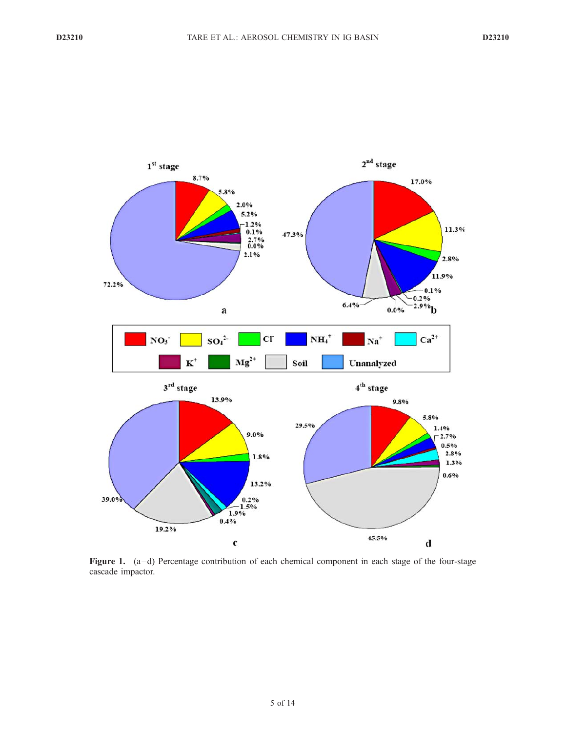

Figure 1. (a–d) Percentage contribution of each chemical component in each stage of the four-stage cascade impactor.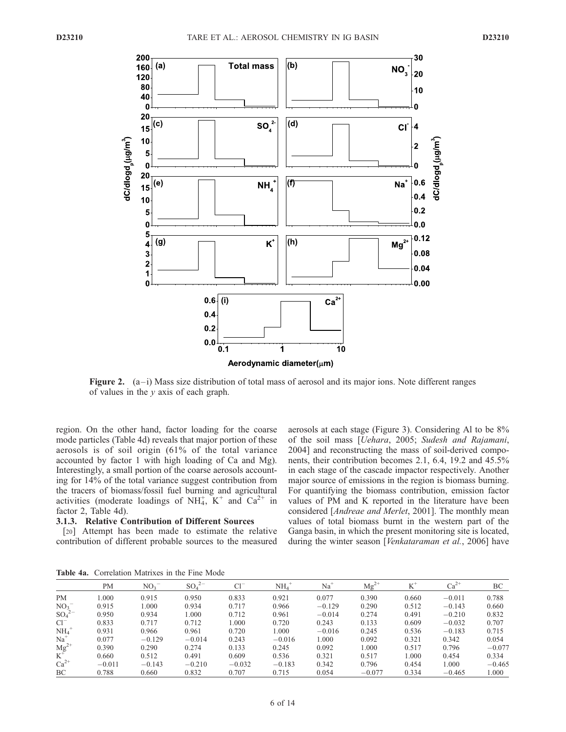

Figure 2.  $(a-i)$  Mass size distribution of total mass of aerosol and its major ions. Note different ranges of values in the  $y$  axis of each graph.

region. On the other hand, factor loading for the coarse mode particles (Table 4d) reveals that major portion of these aerosols is of soil origin (61% of the total variance accounted by factor 1 with high loading of Ca and Mg). Interestingly, a small portion of the coarse aerosols accounting for 14% of the total variance suggest contribution from the tracers of biomass/fossil fuel burning and agricultural activities (moderate loadings of NH<sub>4</sub>,  $K^+$  and Ca<sup>2+</sup> in factor 2, Table 4d).

## 3.1.3. Relative Contribution of Different Sources

[20] Attempt has been made to estimate the relative contribution of different probable sources to the measured aerosols at each stage (Figure 3). Considering Al to be 8% of the soil mass [Uehara, 2005; Sudesh and Rajamani, 2004] and reconstructing the mass of soil-derived components, their contribution becomes 2.1, 6.4, 19.2 and 45.5% in each stage of the cascade impactor respectively. Another major source of emissions in the region is biomass burning. For quantifying the biomass contribution, emission factor values of PM and K reported in the literature have been considered [Andreae and Merlet, 2001]. The monthly mean values of total biomass burnt in the western part of the Ganga basin, in which the present monitoring site is located, during the winter season [Venkataraman et al., 2006] have

| <b>Table 4a.</b> Correlation Matrixes in the Fine Mode |  |  |  |  |  |
|--------------------------------------------------------|--|--|--|--|--|
|--------------------------------------------------------|--|--|--|--|--|

|                 | PM       | NO <sub>3</sub> | $SO_4^2$ | C1       | NH <sub>4</sub> | Na       | $Mg^{2+}$ | ĸ     | $Ca^{2+}$ | ВC       |
|-----------------|----------|-----------------|----------|----------|-----------------|----------|-----------|-------|-----------|----------|
| PM              | 1.000    | 0.915           | 0.950    | 0.833    | 0.921           | 0.077    | 0.390     | 0.660 | $-0.011$  | 0.788    |
| NO <sub>3</sub> | 0.915    | 1.000           | 0.934    | 0.717    | 0.966           | $-0.129$ | 0.290     | 0.512 | $-0.143$  | 0.660    |
| $SO_4^2$        | 0.950    | 0.934           | 000.1    | 0.712    | 0.961           | $-0.014$ | 0.274     | 0.491 | $-0.210$  | 0.832    |
| $Cl^{-}$        | 0.833    | 0.717           | 0.712    | 1.000    | 0.720           | 0.243    | 0.133     | 0.609 | $-0.032$  | 0.707    |
| NH <sub>4</sub> | 0.931    | 0.966           | 0.961    | 0.720    | 1.000           | $-0.016$ | 0.245     | 0.536 | $-0.183$  | 0.715    |
| $Na+$           | 0.077    | $-0.129$        | $-0.014$ | 0.243    | $-0.016$        | 1.000    | 0.092     | 0.321 | 0.342     | 0.054    |
| $Mg^{2+}$       | 0.390    | 0.290           | 0.274    | 0.133    | 0.245           | 0.092    | 000.1     | 0.517 | 0.796     | $-0.077$ |
|                 | 0.660    | 0.512           | 0.491    | 0.609    | 0.536           | 0.321    | 0.517     | 1.000 | 0.454     | 0.334    |
| $Ca^{2+}$       | $-0.011$ | $-0.143$        | $-0.210$ | $-0.032$ | $-0.183$        | 0.342    | 0.796     | 0.454 | 1.000     | $-0.465$ |
| BC              | 0.788    | 0.660           | 0.832    | 0.707    | 0.715           | 0.054    | $-0.077$  | 0.334 | $-0.465$  | 1.000    |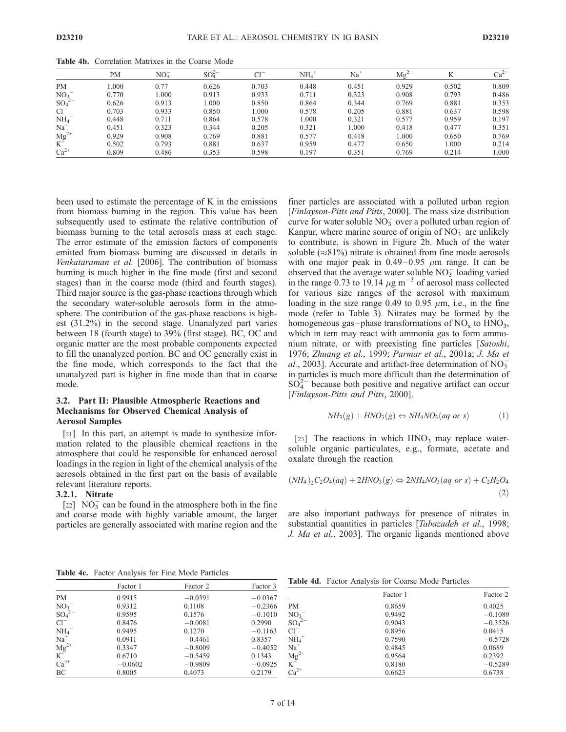|                             | PM    | $NO_3^-$ | $SO_4^{2-}$ | $Cl^{-}$ | NH <sub>4</sub> | Na <sup>+</sup> | $Mg^{2+}$ |       | $Ca^{2+}$ |
|-----------------------------|-------|----------|-------------|----------|-----------------|-----------------|-----------|-------|-----------|
| <b>PM</b>                   | .000  | 0.77     | 0.626       | 0.703    | 0.448           | 0.451           | 0.929     | 0.502 | 0.809     |
| NO <sub>3</sub>             | 0.770 | 0.000    | 0.913       | 0.933    | 0.711           | 0.323           | 0.908     | 0.793 | 0.486     |
| $SO_4^2$ <sup>-2</sup>      | 0.626 | 0.913    | 000.1       | 0.850    | 0.864           | 0.344           | 0.769     | 0.881 | 0.353     |
| $Cl^{-}$                    | 0.703 | 0.933    | 0.850       | .000.    | 0.578           | 0.205           | 0.881     | 0.637 | 0.598     |
|                             | 0.448 | 0.711    | 0.864       | 0.578    | 000.            | 0.321           | 0.577     | 0.959 | 0.197     |
| $NH_4^+$<br>Na <sup>+</sup> | 0.451 | 0.323    | 0.344       | 0.205    | 0.321           | 1.000           | 0.418     | 0.477 | 0.351     |
|                             | 0.929 | 0.908    | 0.769       | 0.881    | 0.577           | 0.418           | 1.000     | 0.650 | 0.769     |
| ${M g}^{2+}_{+}$            | 0.502 | 0.793    | 0.881       | 0.637    | 0.959           | 0.477           | 0.650     | 1.000 | 0.214     |
| $Ca^{2+}$                   | 0.809 | 0.486    | 0.353       | 0.598    | 0.197           | 0.351           | 0.769     | 0.214 | 1.000     |

Table 4b. Correlation Matrixes in the Coarse Mode

been used to estimate the percentage of K in the emissions from biomass burning in the region. This value has been subsequently used to estimate the relative contribution of biomass burning to the total aerosols mass at each stage. The error estimate of the emission factors of components emitted from biomass burning are discussed in details in Venkataraman et al. [2006]. The contribution of biomass burning is much higher in the fine mode (first and second stages) than in the coarse mode (third and fourth stages). Third major source is the gas-phase reactions through which the secondary water-soluble aerosols form in the atmosphere. The contribution of the gas-phase reactions is highest (31.2%) in the second stage. Unanalyzed part varies between 18 (fourth stage) to 39% (first stage). BC, OC and organic matter are the most probable components expected to fill the unanalyzed portion. BC and OC generally exist in the fine mode, which corresponds to the fact that the unanalyzed part is higher in fine mode than that in coarse mode.

### 3.2. Part II: Plausible Atmospheric Reactions and Mechanisms for Observed Chemical Analysis of Aerosol Samples

[21] In this part, an attempt is made to synthesize information related to the plausible chemical reactions in the atmosphere that could be responsible for enhanced aerosol loadings in the region in light of the chemical analysis of the aerosols obtained in the first part on the basis of available relevant literature reports.

#### 3.2.1. Nitrate

[22]  $NO<sub>3</sub><sup>-</sup>$  can be found in the atmosphere both in the fine and coarse mode with highly variable amount, the larger particles are generally associated with marine region and the

finer particles are associated with a polluted urban region [Finlayson-Pitts and Pitts, 2000]. The mass size distribution curve for water soluble  $\overline{NO_3}$  over a polluted urban region of Kanpur, where marine source of origin of  $NO<sub>3</sub>^-$  are unlikely to contribute, is shown in Figure 2b. Much of the water soluble ( $\approx$ 81%) nitrate is obtained from fine mode aerosols with one major peak in  $0.49-0.95$   $\mu$ m range. It can be observed that the average water soluble  $NO<sub>3</sub><sup>-</sup>$  loading varied in the range 0.73 to 19.14  $\mu$ g m<sup>-3</sup> of aerosol mass collected for various size ranges of the aerosol with maximum loading in the size range 0.49 to 0.95  $\mu$ m, i.e., in the fine mode (refer to Table 3). Nitrates may be formed by the homogeneous gas-phase transformations of  $NO<sub>x</sub>$  to  $HNO<sub>3</sub>$ , which in tern may react with ammonia gas to form ammonium nitrate, or with preexisting fine particles [Satoshi, 1976; Zhuang et al., 1999; Parmar et al., 2001a; J. Ma et al., 2003]. Accurate and artifact-free determination of  $NO_3^$ in particles is much more difficult than the determination of  $SO<sub>4</sub><sup>2</sup>$  because both positive and negative artifact can occur [Finlayson-Pitts and Pitts, 2000].

$$
NH_3(g) + HNO_3(g) \Leftrightarrow NH_4NO_3(aq \text{ or } s)
$$
 (1)

[23] The reactions in which  $HNO<sub>3</sub>$  may replace watersoluble organic particulates, e.g., formate, acetate and oxalate through the reaction

$$
(NH_4)_2C_2O_4(aq) + 2HNO_3(g) \Leftrightarrow 2NH_4NO_3(aq \text{ or } s) + C_2H_2O_4
$$
\n
$$
(2)
$$

are also important pathways for presence of nitrates in substantial quantities in particles [*Tabazadeh et al.*, 1998; J. Ma et al., 2003]. The organic ligands mentioned above

Table 4c. Factor Analysis for Fine Mode Particles

|                   | Factor 1  | Factor 2  | Factor 3  |
|-------------------|-----------|-----------|-----------|
| PМ                | 0.9915    | $-0.0391$ | $-0.0367$ |
| $NO_3^-$          | 0.9312    | 0.1108    | $-0.2366$ |
| $SO_4{}^{2-}$     | 0.9595    | 0.1576    | $-0.1010$ |
| $Cl^-$            | 0.8476    | $-0.0081$ | 0.2990    |
| $\mathrm{NH_4}^+$ | 0.9495    | 0.1270    | $-0.1163$ |
| Na <sup>+</sup>   | 0.0911    | $-0.4461$ | 0.8357    |
| $Mg^{2+}$         | 0.3347    | $-0.8009$ | $-0.4052$ |
|                   | 0.6710    | $-0.5459$ | 0.1343    |
| $Ca^{2+}$         | $-0.0602$ | $-0.9809$ | $-0.0925$ |
| ВC                | 0.8005    | 0.4073    | 0.2179    |
|                   |           |           |           |

| Table 4d. Factor Analysis for Coarse Mode Particles |  |  |  |  |  |  |
|-----------------------------------------------------|--|--|--|--|--|--|
|-----------------------------------------------------|--|--|--|--|--|--|

|                                                 | Factor 1 | Factor 2  |
|-------------------------------------------------|----------|-----------|
| <b>PM</b>                                       | 0.8659   | 0.4025    |
|                                                 | 0.9492   | $-0.1089$ |
| $NO_3$ <sup>-</sup><br>$SO_4$ <sup>2-</sup>     | 0.9043   | $-0.3526$ |
| $Cl^{-}$                                        | 0.8956   | 0.0415    |
| $NH4+$                                          | 0.7590   | $-0.5728$ |
| $Na+$                                           | 0.4845   | 0.0689    |
|                                                 | 0.9564   | 0.2392    |
| $Mg^{2+}$<br>K <sup>+</sup><br>Ca <sup>2+</sup> | 0.8180   | $-0.5289$ |
|                                                 | 0.6623   | 0.6738    |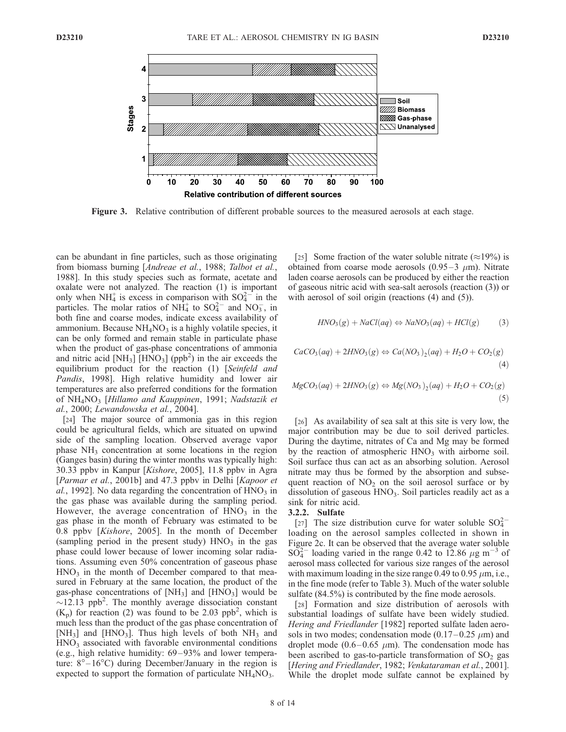

Figure 3. Relative contribution of different probable sources to the measured aerosols at each stage.

can be abundant in fine particles, such as those originating from biomass burning [Andreae et al., 1988; Talbot et al., 1988]. In this study species such as formate, acetate and oxalate were not analyzed. The reaction (1) is important only when NH<sub>4</sub> is excess in comparison with  $SO_4^{2-}$  in the particles. The molar ratios of  $NH<sub>4</sub><sup>+</sup>$  to  $SO<sub>4</sub><sup>2-</sup>$  and  $NO<sub>3</sub>$ , in both fine and coarse modes, indicate excess availability of ammonium. Because  $NH<sub>4</sub>NO<sub>3</sub>$  is a highly volatile species, it can be only formed and remain stable in particulate phase when the product of gas-phase concentrations of ammonia and nitric acid  $\text{[NH}_3\text{]}$   $\text{[HNO}_3\text{]}$  (ppb<sup>2</sup>) in the air exceeds the equilibrium product for the reaction (1) [Seinfeld and Pandis, 1998]. High relative humidity and lower air temperatures are also preferred conditions for the formation of  $NH<sub>4</sub>NO<sub>3</sub>$  [Hillamo and Kauppinen, 1991; Nadstazik et al., 2000; Lewandowska et al., 2004].

[24] The major source of ammonia gas in this region could be agricultural fields, which are situated on upwind side of the sampling location. Observed average vapor phase  $NH<sub>3</sub>$  concentration at some locations in the region (Ganges basin) during the winter months was typically high: 30.33 ppbv in Kanpur [Kishore, 2005], 11.8 ppbv in Agra [Parmar et al., 2001b] and 47.3 ppby in Delhi [Kapoor et al., 1992]. No data regarding the concentration of  $HNO<sub>3</sub>$  in the gas phase was available during the sampling period. However, the average concentration of  $HNO<sub>3</sub>$  in the gas phase in the month of February was estimated to be 0.8 ppbv [Kishore, 2005]. In the month of December (sampling period in the present study)  $HNO<sub>3</sub>$  in the gas phase could lower because of lower incoming solar radiations. Assuming even 50% concentration of gaseous phase  $HNO<sub>3</sub>$  in the month of December compared to that measured in February at the same location, the product of the gas-phase concentrations of  $[NH_3]$  and  $[HNO_3]$  would be  $\sim$ 12.13 ppb<sup>2</sup>. The monthly average dissociation constant  $(K_p)$  for reaction (2) was found to be 2.03 ppb<sup>2</sup>, which is much less than the product of the gas phase concentration of [NH<sub>3</sub>] and [HNO<sub>3</sub>]. Thus high levels of both  $NH_3$  and HNO<sub>3</sub> associated with favorable environmental conditions (e.g., high relative humidity:  $69-93\%$  and lower temperature:  $8^{\circ} - 16^{\circ}$ C) during December/January in the region is expected to support the formation of particulate  $NH<sub>4</sub>NO<sub>3</sub>$ .

[25] Some fraction of the water soluble nitrate ( $\approx$ 19%) is obtained from coarse mode aerosols  $(0.95-3 \mu m)$ . Nitrate laden coarse aerosols can be produced by either the reaction of gaseous nitric acid with sea-salt aerosols (reaction (3)) or with aerosol of soil origin (reactions (4) and (5)).

$$
HNO3(g) + NaCl(aq) \Leftrightarrow NaNO3(aq) + HCl(g)
$$
 (3)

$$
CaCO3(aq) + 2HNO3(g) \Leftrightarrow Ca(NO3)2(aq) + H2O + CO2(g)
$$
\n(4)

$$
MgCO3(aq) + 2HNO3(g) \Leftrightarrow Mg(NO3)2(aq) + H2O + CO2(g)
$$
\n(5)

[26] As availability of sea salt at this site is very low, the major contribution may be due to soil derived particles. During the daytime, nitrates of Ca and Mg may be formed by the reaction of atmospheric  $HNO<sub>3</sub>$  with airborne soil. Soil surface thus can act as an absorbing solution. Aerosol nitrate may thus be formed by the absorption and subsequent reaction of  $NO<sub>2</sub>$  on the soil aerosol surface or by dissolution of gaseous  $HNO<sub>3</sub>$ . Soil particles readily act as a sink for nitric acid.

#### 3.2.2. Sulfate

[27] The size distribution curve for water soluble  $SO_4^{2-}$ loading on the aerosol samples collected in shown in Figure 2c. It can be observed that the average water soluble  $SO_4^{2-}$  loading varied in the range 0.42 to 12.86  $\mu$ g m<sup>-3</sup> of aerosol mass collected for various size ranges of the aerosol with maximum loading in the size range 0.49 to 0.95  $\mu$ m, i.e., in the fine mode (refer to Table 3). Much of the water soluble sulfate  $(84.5\%)$  is contributed by the fine mode aerosols.

[28] Formation and size distribution of aerosols with substantial loadings of sulfate have been widely studied. Hering and Friedlander [1982] reported sulfate laden aerosols in two modes; condensation mode  $(0.17-0.25 \mu m)$  and droplet mode (0.6-0.65  $\mu$ m). The condensation mode has been ascribed to gas-to-particle transformation of  $SO<sub>2</sub>$  gas [Hering and Friedlander, 1982; Venkataraman et al., 2001]. While the droplet mode sulfate cannot be explained by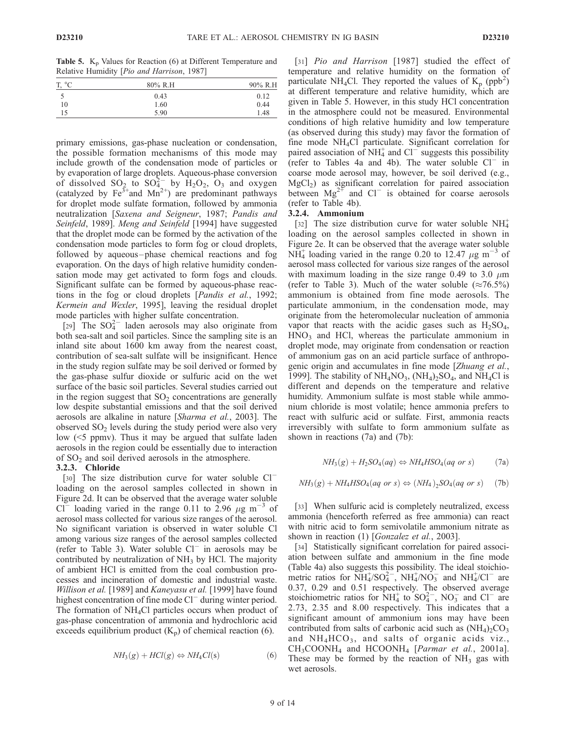**Table 5.**  $K_p$  Values for Reaction (6) at Different Temperature and Relative Humidity [Pio and Harrison, 1987]

|       | . .<br>- |         |
|-------|----------|---------|
| T, °C | 80% R.H  | 90% R.H |
|       | 0.43     | 0.12    |
| 10    | 1.60     | 0.44    |
| 15    | 5.90     | 1.48    |
|       |          |         |

primary emissions, gas-phase nucleation or condensation, the possible formation mechanisms of this mode may include growth of the condensation mode of particles or by evaporation of large droplets. Aqueous-phase conversion of dissolved  $SO_2$  to  $SO_4^{2-}$  by  $H_2O_2$ ,  $O_3$  and oxygen (catalyzed by Fe<sup>3+</sup>and Mn<sup>2+</sup>) are predominant pathways for droplet mode sulfate formation, followed by ammonia neutralization [Saxena and Seigneur, 1987; Pandis and Seinfeld, 1989]. Meng and Seinfeld [1994] have suggested that the droplet mode can be formed by the activation of the condensation mode particles to form fog or cloud droplets, followed by aqueous-phase chemical reactions and fog evaporation. On the days of high relative humidity condensation mode may get activated to form fogs and clouds. Significant sulfate can be formed by aqueous-phase reactions in the fog or cloud droplets [Pandis et al., 1992; Kermein and Wexler, 1995], leaving the residual droplet mode particles with higher sulfate concentration.

[29] The  $SO_4^{2-}$  laden aerosols may also originate from both sea-salt and soil particles. Since the sampling site is an inland site about 1600 km away from the nearest coast, contribution of sea-salt sulfate will be insignificant. Hence in the study region sulfate may be soil derived or formed by the gas-phase sulfur dioxide or sulfuric acid on the wet surface of the basic soil particles. Several studies carried out in the region suggest that  $SO<sub>2</sub>$  concentrations are generally low despite substantial emissions and that the soil derived aerosols are alkaline in nature [Sharma et al., 2003]. The observed  $SO<sub>2</sub>$  levels during the study period were also very low (<5 ppmv). Thus it may be argued that sulfate laden aerosols in the region could be essentially due to interaction of  $SO_2$  and soil derived aerosols in the atmosphere.

#### 3.2.3. Chloride

[30] The size distribution curve for water soluble Cl<sup>-</sup> loading on the aerosol samples collected in shown in Figure 2d. It can be observed that the average water soluble Cl<sup>-</sup> loading varied in the range 0.11 to 2.96  $\mu$ g m<sup>-3</sup> of aerosol mass collected for various size ranges of the aerosol. No significant variation is observed in water soluble Cl among various size ranges of the aerosol samples collected (refer to Table 3). Water soluble  $Cl^-$  in aerosols may be contributed by neutralization of  $NH<sub>3</sub>$  by HCl. The majority of ambient HCl is emitted from the coal combustion processes and incineration of domestic and industrial waste. Willison et al. [1989] and Kaneyasu et al. [1999] have found highest concentration of fine mode Cl<sup>-</sup> during winter period. The formation of  $NH<sub>4</sub>Cl$  particles occurs when product of gas-phase concentration of ammonia and hydrochloric acid exceeds equilibrium product  $(K_p)$  of chemical reaction (6).

$$
NH_3(g) + HCl(g) \Leftrightarrow NH_4Cl(s)
$$
 (6)

[31] *Pio and Harrison* [1987] studied the effect of temperature and relative humidity on the formation of particulate NH<sub>4</sub>Cl. They reported the values of  $K_p$  (ppb<sup>2</sup>) at different temperature and relative humidity, which are given in Table 5. However, in this study HCl concentration in the atmosphere could not be measured. Environmental conditions of high relative humidity and low temperature (as observed during this study) may favor the formation of fine mode NH4Cl particulate. Significant correlation for paired association of NH $_4^+$  and Cl<sup>-</sup> suggests this possibility (refer to Tables 4a and 4b). The water soluble  $Cl^-$  in coarse mode aerosol may, however, be soil derived (e.g.,  $MgCl<sub>2</sub>$ ) as significant correlation for paired association between  $Mg^{2+}$  and Cl<sup>-</sup> is obtained for coarse aerosols (refer to Table 4b).

## 3.2.4. Ammonium

[32] The size distribution curve for water soluble  $NH_4^+$ loading on the aerosol samples collected in shown in Figure 2e. It can be observed that the average water soluble  $N\widetilde{H}_4^+$  loading varied in the range 0.20 to 12.47  $\mu$ g m<sup>-3</sup> of aerosol mass collected for various size ranges of the aerosol with maximum loading in the size range 0.49 to 3.0  $\mu$ m (refer to Table 3). Much of the water soluble ( $\approx 76.5\%$ ) ammonium is obtained from fine mode aerosols. The particulate ammonium, in the condensation mode, may originate from the heteromolecular nucleation of ammonia vapor that reacts with the acidic gases such as  $H_2SO_4$ , HNO3 and HCl, whereas the particulate ammonium in droplet mode, may originate from condensation or reaction of ammonium gas on an acid particle surface of anthropogenic origin and accumulates in fine mode [Zhuang et al., 1999]. The stability of  $NH_4NO_3$ ,  $(NH_4)_2SO_4$ , and  $NH_4Cl$  is different and depends on the temperature and relative humidity. Ammonium sulfate is most stable while ammonium chloride is most volatile; hence ammonia prefers to react with sulfuric acid or sulfate. First, ammonia reacts irreversibly with sulfate to form ammonium sulfate as shown in reactions (7a) and (7b):

$$
NH_3(g) + H_2SO_4(aq) \Leftrightarrow NH_4HSO_4(aq \text{ or } s) \tag{7a}
$$

$$
NH_3(g) + NH_4HSO_4(aq \text{ or } s) \Leftrightarrow (NH_4)_2SO_4(aq \text{ or } s) \qquad (7b)
$$

[33] When sulfuric acid is completely neutralized, excess ammonia (henceforth referred as free ammonia) can react with nitric acid to form semivolatile ammonium nitrate as shown in reaction (1) [*Gonzalez et al.*, 2003].

[34] Statistically significant correlation for paired association between sulfate and ammonium in the fine mode (Table 4a) also suggests this possibility. The ideal stoichiometric ratios for  $\overline{NH_4}/SO_4^{2-}$ ,  $\overline{NH_4}/NO_3^-$  and  $\overline{NH_4}/Cl^-$  are 0.37, 0.29 and 0.51 respectively. The observed average stoichiometric ratios for  $NH_4^+$  to  $SO_4^{2-}$ ,  $NO_3^-$  and  $Cl^-$  are 2.73, 2.35 and 8.00 respectively. This indicates that a significant amount of ammonium ions may have been contributed from salts of carbonic acid such as  $(NH_4)_2CO_3$ and  $NH_4HCO_3$ , and salts of organic acids viz.,  $CH<sub>3</sub>COONH<sub>4</sub>$  and HCOONH<sub>4</sub> [*Parmar et al.*, 2001a]. These may be formed by the reaction of  $NH<sub>3</sub>$  gas with wet aerosols.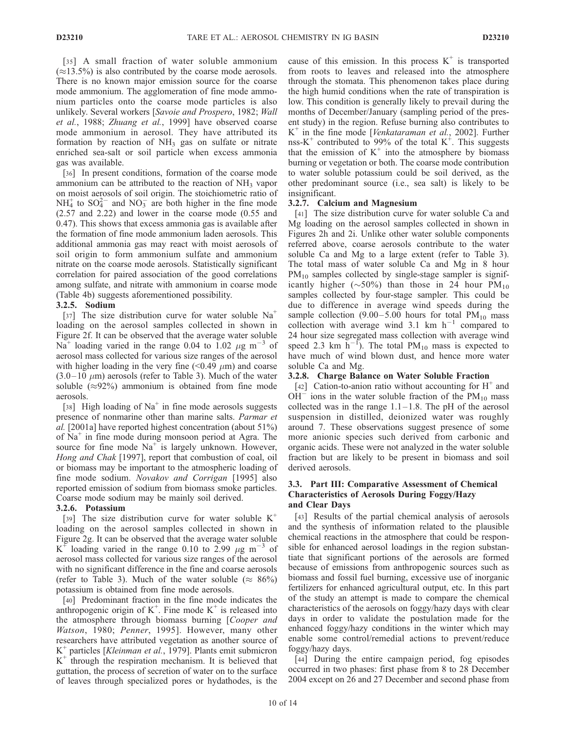[35] A small fraction of water soluble ammonium  $(\approx 13.5\%)$  is also contributed by the coarse mode aerosols. There is no known major emission source for the coarse mode ammonium. The agglomeration of fine mode ammonium particles onto the coarse mode particles is also unlikely. Several workers [Savoie and Prospero, 1982; Wall et al., 1988; Zhuang et al., 1999] have observed coarse mode ammonium in aerosol. They have attributed its formation by reaction of  $NH<sub>3</sub>$  gas on sulfate or nitrate enriched sea-salt or soil particle when excess ammonia gas was available.

[36] In present conditions, formation of the coarse mode ammonium can be attributed to the reaction of  $NH<sub>3</sub>$  vapor on moist aerosols of soil origin. The stoichiometric ratio of  $NH_4^+$  to  $SO_4^{2-}$  and  $NO_3^-$  are both higher in the fine mode (2.57 and 2.22) and lower in the coarse mode (0.55 and 0.47). This shows that excess ammonia gas is available after the formation of fine mode ammonium laden aerosols. This additional ammonia gas may react with moist aerosols of soil origin to form ammonium sulfate and ammonium nitrate on the coarse mode aerosols. Statistically significant correlation for paired association of the good correlations among sulfate, and nitrate with ammonium in coarse mode (Table 4b) suggests aforementioned possibility.

# 3.2.5. Sodium

[37] The size distribution curve for water soluble  $Na<sup>+</sup>$ loading on the aerosol samples collected in shown in Figure 2f. It can be observed that the average water soluble Na<sup>+</sup> loading varied in the range 0.04 to 1.02  $\mu$ g m<sup>-3</sup> of aerosol mass collected for various size ranges of the aerosol with higher loading in the very fine  $(<0.49 \mu m$ ) and coarse  $(3.0-10 \mu m)$  aerosols (refer to Table 3). Much of the water soluble  $(\approx 92\%)$  ammonium is obtained from fine mode aerosols.

[38] High loading of  $Na<sup>+</sup>$  in fine mode aerosols suggests presence of nonmarine other than marine salts. Parmar et al. [2001a] have reported highest concentration (about 51%) of  $Na<sup>+</sup>$  in fine mode during monsoon period at Agra. The source for fine mode  $Na<sup>+</sup>$  is largely unknown. However, Hong and Chak [1997], report that combustion of coal, oil or biomass may be important to the atmospheric loading of fine mode sodium. Novakov and Corrigan [1995] also reported emission of sodium from biomass smoke particles. Coarse mode sodium may be mainly soil derived.

# 3.2.6. Potassium

[39] The size distribution curve for water soluble  $K^+$ loading on the aerosol samples collected in shown in Figure 2g. It can be observed that the average water soluble K<sup>+</sup> loading varied in the range 0.10 to 2.99  $\mu$ g m<sup>-3</sup> of aerosol mass collected for various size ranges of the aerosol with no significant difference in the fine and coarse aerosols (refer to Table 3). Much of the water soluble ( $\approx 86\%$ ) potassium is obtained from fine mode aerosols.

[40] Predominant fraction in the fine mode indicates the anthropogenic origin of  $K^+$ . Fine mode  $K^+$  is released into the atmosphere through biomass burning [Cooper and Watson, 1980; Penner, 1995]. However, many other researchers have attributed vegetation as another source of  $K^+$  particles [*Kleinman et al.*, 1979]. Plants emit submicron  $K^+$  through the respiration mechanism. It is believed that guttation, the process of secretion of water on to the surface of leaves through specialized pores or hydathodes, is the

cause of this emission. In this process  $K^+$  is transported from roots to leaves and released into the atmosphere through the stomata. This phenomenon takes place during the high humid conditions when the rate of transpiration is low. This condition is generally likely to prevail during the months of December/January (sampling period of the present study) in the region. Refuse burning also contributes to  $K^+$  in the fine mode [*Venkataraman et al.*, 2002]. Further nss- $K^+$  contributed to 99% of the total  $K^+$ . This suggests that the emission of  $K^+$  into the atmosphere by biomass burning or vegetation or both. The coarse mode contribution to water soluble potassium could be soil derived, as the other predominant source (i.e., sea salt) is likely to be insignificant.

# 3.2.7. Calcium and Magnesium

[41] The size distribution curve for water soluble Ca and Mg loading on the aerosol samples collected in shown in Figures 2h and 2i. Unlike other water soluble components referred above, coarse aerosols contribute to the water soluble Ca and Mg to a large extent (refer to Table 3). The total mass of water soluble Ca and Mg in 8 hour  $PM_{10}$  samples collected by single-stage sampler is significantly higher ( $\sim$ 50%) than those in 24 hour PM<sub>10</sub> samples collected by four-stage sampler. This could be due to difference in average wind speeds during the sample collection  $(9.00-5.00$  hours for total PM<sub>10</sub> mass collection with average wind  $3.1 \text{ km/h}^{-1}$  compared to 24 hour size segregated mass collection with average wind speed 2.3 km  $\overline{h}^{-1}$ ). The total PM<sub>10</sub> mass is expected to have much of wind blown dust, and hence more water soluble Ca and Mg.

# 3.2.8. Charge Balance on Water Soluble Fraction

[42] Cation-to-anion ratio without accounting for  $H^+$  and  $OH^-$  ions in the water soluble fraction of the PM<sub>10</sub> mass collected was in the range  $1.1 - 1.8$ . The pH of the aerosol suspension in distilled, deionized water was roughly around 7. These observations suggest presence of some more anionic species such derived from carbonic and organic acids. These were not analyzed in the water soluble fraction but are likely to be present in biomass and soil derived aerosols.

## 3.3. Part III: Comparative Assessment of Chemical Characteristics of Aerosols During Foggy/Hazy and Clear Days

[43] Results of the partial chemical analysis of aerosols and the synthesis of information related to the plausible chemical reactions in the atmosphere that could be responsible for enhanced aerosol loadings in the region substantiate that significant portions of the aerosols are formed because of emissions from anthropogenic sources such as biomass and fossil fuel burning, excessive use of inorganic fertilizers for enhanced agricultural output, etc. In this part of the study an attempt is made to compare the chemical characteristics of the aerosols on foggy/hazy days with clear days in order to validate the postulation made for the enhanced foggy/hazy conditions in the winter which may enable some control/remedial actions to prevent/reduce foggy/hazy days.

[44] During the entire campaign period, fog episodes occurred in two phases: first phase from 8 to 28 December 2004 except on 26 and 27 December and second phase from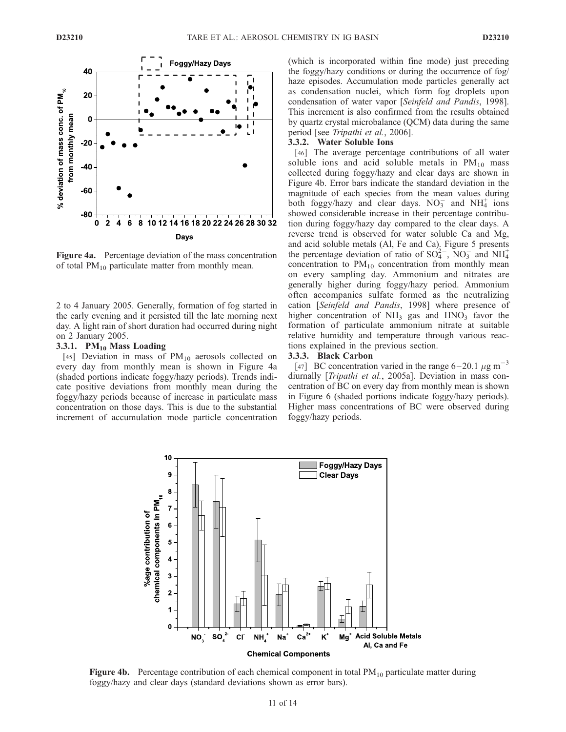

Figure 4a. Percentage deviation of the mass concentration of total  $PM_{10}$  particulate matter from monthly mean.

2 to 4 January 2005. Generally, formation of fog started in the early evening and it persisted till the late morning next day. A light rain of short duration had occurred during night on 2 January 2005.

### 3.3.1.  $PM_{10}$  Mass Loading

[45] Deviation in mass of  $PM_{10}$  aerosols collected on every day from monthly mean is shown in Figure 4a (shaded portions indicate foggy/hazy periods). Trends indicate positive deviations from monthly mean during the foggy/hazy periods because of increase in particulate mass concentration on those days. This is due to the substantial increment of accumulation mode particle concentration (which is incorporated within fine mode) just preceding the foggy/hazy conditions or during the occurrence of fog/ haze episodes. Accumulation mode particles generally act as condensation nuclei, which form fog droplets upon condensation of water vapor [Seinfeld and Pandis, 1998]. This increment is also confirmed from the results obtained by quartz crystal microbalance (QCM) data during the same period [see Tripathi et al., 2006].

# 3.3.2. Water Soluble Ions

[46] The average percentage contributions of all water soluble ions and acid soluble metals in  $PM_{10}$  mass collected during foggy/hazy and clear days are shown in Figure 4b. Error bars indicate the standard deviation in the magnitude of each species from the mean values during both foggy/hazy and clear days.  $NO_3^-$  and  $NH_4^+$  ions showed considerable increase in their percentage contribution during foggy/hazy day compared to the clear days. A reverse trend is observed for water soluble Ca and Mg, and acid soluble metals (Al, Fe and Ca). Figure 5 presents the percentage deviation of ratio of  $SO_4^{2-}$ ,  $NO_3^-$  and  $NH_4^+$ concentration to  $PM_{10}$  concentration from monthly mean on every sampling day. Ammonium and nitrates are generally higher during foggy/hazy period. Ammonium often accompanies sulfate formed as the neutralizing cation [Seinfeld and Pandis, 1998] where presence of higher concentration of  $NH<sub>3</sub>$  gas and  $HNO<sub>3</sub>$  favor the formation of particulate ammonium nitrate at suitable relative humidity and temperature through various reactions explained in the previous section.

#### 3.3.3. Black Carbon

[47] BC concentration varied in the range  $6-20.1 \mu g m^{-3}$ diurnally [Tripathi et al., 2005a]. Deviation in mass concentration of BC on every day from monthly mean is shown in Figure 6 (shaded portions indicate foggy/hazy periods). Higher mass concentrations of BC were observed during foggy/hazy periods.



**Figure 4b.** Percentage contribution of each chemical component in total  $PM_{10}$  particulate matter during foggy/hazy and clear days (standard deviations shown as error bars).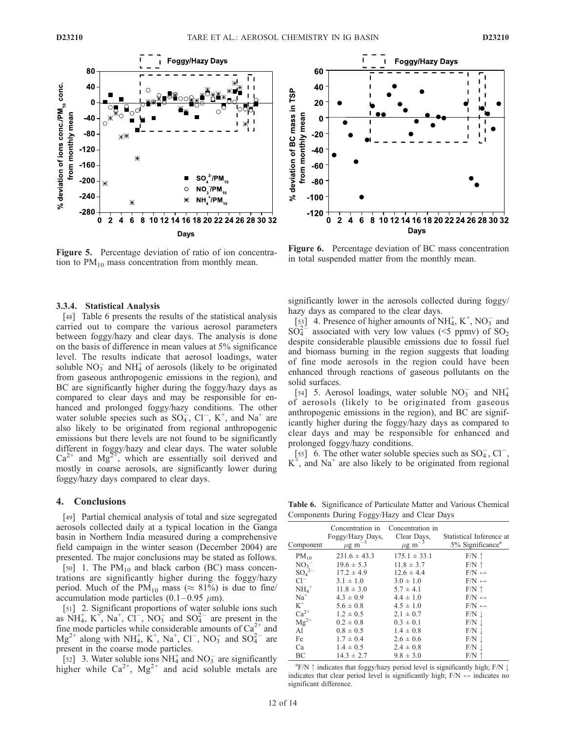

Figure 5. Percentage deviation of ratio of ion concentration to  $PM_{10}$  mass concentration from monthly mean.

#### 3.3.4. Statistical Analysis

[48] Table 6 presents the results of the statistical analysis carried out to compare the various aerosol parameters between foggy/hazy and clear days. The analysis is done on the basis of difference in mean values at 5% significance level. The results indicate that aerosol loadings, water soluble  $NO<sub>3</sub><sup>-</sup>$  and  $NH<sub>4</sub><sup>+</sup>$  of aerosols (likely to be originated from gaseous anthropogenic emissions in the region), and BC are significantly higher during the foggy/hazy days as compared to clear days and may be responsible for enhanced and prolonged foggy/hazy conditions. The other water soluble species such as  $SO_4^-$ ,  $Cl^-$ ,  $K^+$ , and  $Na^+$  are also likely to be originated from regional anthropogenic emissions but there levels are not found to be significantly different in foggy/hazy and clear days. The water soluble  $Ca^{2+}$  and  $Mg^{2+}$ , which are essentially soil derived and mostly in coarse aerosols, are significantly lower during foggy/hazy days compared to clear days.

### 4. Conclusions

[49] Partial chemical analysis of total and size segregated aerosols collected daily at a typical location in the Ganga basin in Northern India measured during a comprehensive field campaign in the winter season (December 2004) are presented. The major conclusions may be stated as follows.

[50] 1. The  $PM_{10}$  and black carbon (BC) mass concentrations are significantly higher during the foggy/hazy period. Much of the PM<sub>10</sub> mass ( $\approx 81\%$ ) is due to fine/ accumulation mode particles  $(0.1-0.95 \mu m)$ .

[51] 2. Significant proportions of water soluble ions such as  $NH_4^+$ ,  $K^+$ ,  $Na^+$ ,  $Cl^-$ ,  $NO_3^-$  and  $SO_4^{2-}$  are present in the fine mode particles while considerable amounts of  $Ca^{2+}$  and  $Mg^{2+}$  along with NH<sub>4</sub>, K<sup>+</sup>, Na<sup>+</sup>, Cl<sup>-</sup>, NO<sub>3</sub> and SO<sub>4</sub><sup>2-</sup> are present in the coarse mode particles.

[52] 3. Water soluble ions  $NH_4^+$  and  $NO_3^-$  are significantly higher while  $Ca^{2+}$ , Mg<sup>2+</sup> and acid soluble metals are



Figure 6. Percentage deviation of BC mass concentration in total suspended matter from the monthly mean.

significantly lower in the aerosols collected during foggy/ hazy days as compared to the clear days.

[53] 4. Presence of higher amounts of NH<sub>4</sub>, K<sup>+</sup>, NO<sub>3</sub> and  $SO_4^{2-}$  associated with very low values (<5 ppmv) of  $SO_2$ despite considerable plausible emissions due to fossil fuel and biomass burning in the region suggests that loading of fine mode aerosols in the region could have been enhanced through reactions of gaseous pollutants on the solid surfaces.

[54] 5. Aerosol loadings, water soluble  $NO_3^-$  and  $NH_4^+$ of aerosols (likely to be originated from gaseous anthropogenic emissions in the region), and BC are significantly higher during the foggy/hazy days as compared to clear days and may be responsible for enhanced and prolonged foggy/hazy conditions.

[55] 6. The other water soluble species such as  $SO_4^-$ ,  $Cl^-,$  $K^{\dagger}$ , and Na<sup>+</sup> are also likely to be originated from regional

Table 6. Significance of Particulate Matter and Various Chemical Components During Foggy/Hazy and Clear Days

| Component           | Concentration in<br>Foggy/Hazy Days,<br>$\mu$ g m | Concentration in<br>Clear Days,<br>$\mu$ g m | Statistical Inference at<br>5% Significance <sup>a</sup> |
|---------------------|---------------------------------------------------|----------------------------------------------|----------------------------------------------------------|
| $PM_{10}$           | $231.6 \pm 43.3$                                  | $175.1 \pm 33.1$                             | $F/N \uparrow$                                           |
| NO <sub>3</sub>     | $19.6 \pm 5.3$                                    | $11.8 \pm 3.7$                               | $F/N \uparrow$                                           |
| $SO_4^{2-}$         | $17.2 \pm 4.9$                                    | $12.6 \pm 4.4$                               | $F/N \leftrightarrow$                                    |
| $Cl^{-}$            | $3.1 \pm 1.0$                                     | $3.0 \pm 1.0$                                | $F/N \leftrightarrow$                                    |
| $NH_4$ <sup>+</sup> | $11.8 \pm 3.0$                                    | $5.7 \pm 4.1$                                | $F/N \uparrow$                                           |
| $Na+$               | $4.3 \pm 0.9$                                     | $4.4 \pm 1.0$                                | $F/N \leftrightarrow$                                    |
| $K^+$               | $5.6 \pm 0.8$                                     | $4.5 \pm 1.0$                                | $F/N \leftrightarrow$                                    |
| $\mathrm{Ca}^{2+}$  | $1.2 \pm 0.5$                                     | $2.1 \pm 0.7$                                | $F/N \perp$                                              |
| $Mg^{2+}$           | $0.2 \pm 0.8$                                     | $0.3 \pm 0.1$                                | $F/N \perp$                                              |
| Al                  | $0.8 \pm 0.5$                                     | $1.4 \pm 0.8$                                | $F/N \perp$                                              |
| Fe                  | $1.7 \pm 0.4$                                     | $2.6 \pm 0.6$                                | $F/N \perp$                                              |
| Ca                  | $1.4 \pm 0.5$                                     | $2.4 \pm 0.8$                                | $F/N \perp$                                              |
| BC                  | $14.3 \pm 2.7$                                    | $9.8 \pm 3.0$                                | $F/N$ ↑                                                  |

 ${}^{\text{a}}$ F/N  $\uparrow$  indicates that foggy/hazy period level is significantly high; F/N  $\downarrow$ indicates that clear period level is significantly high;  $F/N \leftrightarrow$  indicates no significant difference.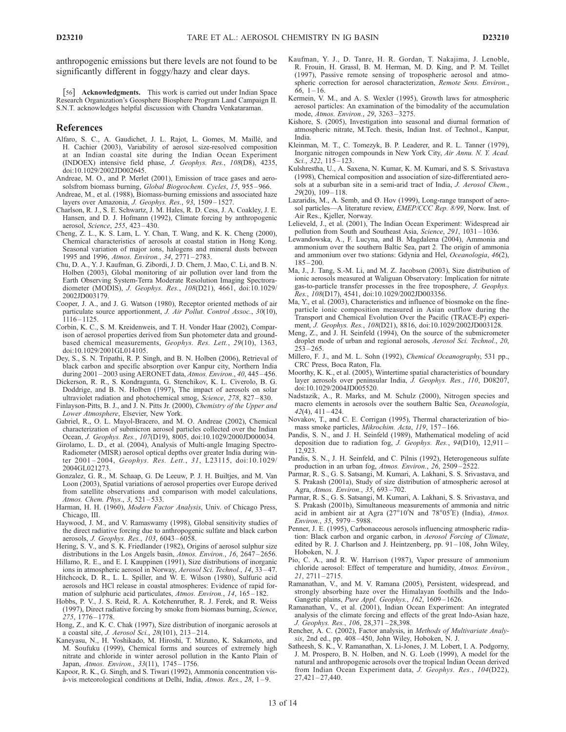anthropogenic emissions but there levels are not found to be significantly different in foggy/hazy and clear days.

[56] Acknowledgments. This work is carried out under Indian Space Research Organization's Geosphere Biosphere Program Land Campaign II. S.N.T. acknowledges helpful discussion with Chandra Venkataraman.

#### References

- Alfaro, S. C., A. Gaudichet, J. L. Rajot, L. Gomes, M. Maillé, and H. Cachier (2003), Variability of aerosol size-resolved composition at an Indian coastal site during the Indian Ocean Experiment (INDOEX) intensive field phase, J. Geophys. Res., 108(D8), 4235, doi:10.1029/2002JD002645.
- Andreae, M. O., and P. Merlet (2001), Emission of trace gases and aerosolsfrom biomass burning, Global Biogeochem. Cycles, 15, 955-966.
- Andreae, M., et al. (1988), Biomass-burning emissions and associated haze layers over Amazonia, J. Geophys. Res., 93, 1509-1527.
- Charlson, R. J., S. E. Schwartz, J. M. Hales, R. D. Cess, J. A. Coakley, J. E. Hansen, and D. J. Hofmann (1992), Climate forcing by anthropogenic aerosol, Science, 255, 423 – 430.
- Cheng, Z. L., K. S. Lam, L. Y. Chan, T. Wang, and K. K. Cheng (2000), Chemical characteristics of aerosols at coastal station in Hong Kong. Seasonal variation of major ions, halogens and mineral dusts between 1995 and 1996, Atmos. Environ., 34, 2771 – 2783.
- Chu, D. A., Y. J. Kaufman, G. Zibordi, J. D. Chern, J. Mao, C. Li, and B. N. Holben (2003), Global monitoring of air pollution over land from the Earth Observing System-Terra Moderate Resolution Imaging Spectroradiometer (MODIS), J. Geophys. Res., 108(D21), 4661, doi:10.1029/ 2002JD003179.
- Cooper, J. A., and J. G. Watson (1980), Receptor oriented methods of air particulate source apportionment, *J. Air Pollut. Control Assoc.*, 30(10),  $1116 - 1125$ .
- Corbin, K. C., S. M. Kreidenweis, and T. H. Vonder Haar (2002), Comparison of aerosol properties derived from Sun photometer data and groundbased chemical measurements, Geophys. Res. Lett., 29(10), 1363, doi:10.1029/2001GL014105.
- Dey, S., S. N. Tripathi, R. P. Singh, and B. N. Holben (2006), Retrieval of black carbon and specific absorption over Kanpur city, Northern India during 2001 – 2003 using AERONET data, Atmos. Environ., 40, 445 – 456.
- Dickerson, R. R., S. Kondragunta, G. Stenchikov, K. L. Civerolo, B. G. Doddrige, and B. N. Holben (1997), The impact of aerosols on solar ultraviolet radiation and photochemical smog, Science, 278, 827 – 830.
- Finlayson-Pitts, B. J., and J. N. Pitts Jr. (2000), Chemistry of the Upper and Lower Atmosphere, Elsevier, New York.
- Gabriel, R., O. L. Mayol-Bracero, and M. O. Andreae (2002), Chemical characterization of submicron aerosol particles collected over the Indian Ocean, J. Geophys. Res., 107(D19), 8005, doi:10.1029/2000JD000034.
- Girolamo, L. D., et al. (2004), Analysis of Multi-angle Imaging Spectro-Radiometer (MISR) aerosol optical depths over greater India during winter 2001-2004, Geophys. Res. Lett., 31, L23115, doi:10.1029/ 2004GL021273.
- Gonzalez, G. R., M. Schaap, G. De Leeuw, P. J. H. Builtjes, and M. Van Loon (2003), Spatial variations of aerosol properties over Europe derived from satellite observations and comparison with model calculations, Atmos. Chem. Phys., 3, 521-533.
- Harman, H. H. (1960), Modern Factor Analysis, Univ. of Chicago Press, Chicago, III.
- Haywood, J. M., and V. Ramaswamy (1998), Global sensitivity studies of the direct radiative forcing due to anthropogenic sulfate and black carbon aerosols, *J. Geophys. Res.*, 103, 6043-6058.
- Hering, S. V., and S. K. Friedlander (1982), Origins of aerosol sulphur size distributions in the Los Angels basin, Atmos. Environ., 16, 2647-2656. Hillamo, R. E., and E. I. Kauppinen (1991), Size distributions of inorganic
- ions in atmospheric aerosol in Norway, Aerosol Sci. Technol., 14, 33-47. Hitchcock, D. R., L. L. Spiller, and W. E. Wilson (1980), Sulfuric acid
- aerosols and HCl release in coastal atmospheres: Evidence of rapid formation of sulphuric acid particulates, Atmos. Environ., 14, 165-182.
- Hobbs, P. V., J. S. Reid, R. A. Kotchenruther, R. J. Ferek, and R. Weiss (1997), Direct radiative forcing by smoke from biomass burning, Science, 275, 1776 – 1778.
- Hong, Z., and K. C. Chak (1997), Size distribution of inorganic aerosols at a coastal site, J. Aerosol Sci., 28(101), 213 – 214.
- Kaneyasu, N., H. Yoshikado, M. Hiroshi, T. Mizuno, K. Sakamoto, and M. Soufuku (1999), Chemical forms and sources of extremely high nitrate and chloride in winter aerosol pollution in the Kanto Plain of Japan, Atmos. Environ., 33(11), 1745 – 1756.
- Kapoor, R. K., G. Singh, and S. Tiwari (1992), Ammonia concentration visà-vis meteorological conditions at Delhi, India,  $Atmos. Res., 28, 1-9.$
- Kaufman, Y. J., D. Tanre, H. R. Gordan, T. Nakajima, J. Lenoble, R. Frouin, H. Grassl, B. M. Herman, M. D. King, and P. M. Teillet (1997), Passive remote sensing of tropospheric aerosol and atmospheric correction for aerosol characterization, Remote Sens. Environ.,  $66, 1 - 16.$
- Kermein, V. M., and A. S. Wexler (1995), Growth laws for atmospheric aerosol particles: An examination of the bimodality of the accumulation mode, Atmos. Environ., 29, 3263 – 3275.
- Kishore, S. (2005), Investigation into seasonal and diurnal formation of atmospheric nitrate, M.Tech. thesis, Indian Inst. of Technol., Kanpur, India.
- Kleinman, M. T., C. Tomezyk, B. P. Leaderer, and R. L. Tanner (1979), Inorganic nitrogen compounds in New York City, Air Annu. N. Y. Acad. Sci., 322, 115-123.
- Kulshrestha, U., A. Saxena, N. Kumar, K. M. Kumari, and S. S. Srivastava (1998), Chemical composition and association of size-differentiated aerosols at a suburban site in a semi-arid tract of India, J. Aerosol Chem., 29(20), 109 – 118.
- Lazaridis, M., A. Semb, and Ø. Hov (1999), Long-range transport of aerosol particles—A literature review, EMEP/CCC Rep. 8/99, Norw. Inst. of Air Res., Kjeller, Norway.
- Lelieveld, J., et al. (2001), The Indian Ocean Experiment: Widespread air pollution from South and Southeast Asia, Science, 291, 1031-1036.
- Lewandowska, A., F. Lucyna, and B. Magdalena (2004), Ammonia and ammonium over the southern Baltic Sea, part 2. The origin of ammonia and ammonium over two stations: Gdynia and Hel, Oceanologia, 46(2), 185 – 200.
- Ma, J., J. Tang, S.-M. Li, and M. Z. Jacobson (2003), Size distribution of ionic aerosols measured at Waliguan Observatory: Implication for nitrate gas-to-particle transfer processes in the free troposphere, J. Geophys. Res., 108(D17), 4541, doi:10.1029/2002JD003356.
- Ma, Y., et al. (2003), Characteristics and influence of biosmoke on the fineparticle ionic composition measured in Asian outflow during the Transport and Chemical Evolution Over the Pacific (TRACE-P) experiment, J. Geophys. Res., 108(D21), 8816, doi:10.1029/2002JD003128.
- Meng, Z., and J. H. Seinfeld (1994), On the source of the submicrometer droplet mode of urban and regional aerosols, Aerosol Sci. Technol., 20,  $253 - 265$
- Millero, F. J., and M. L. Sohn (1992), Chemical Oceanography, 531 pp., CRC Press, Boca Raton, Fla.
- Moorthy, K. K., et al. (2005), Wintertime spatial characteristics of boundary layer aerosols over peninsular India, J. Geophys. Res., 110, D08207, doi:10.1029/2004JD005520.
- Nadstazik, A., R. Marks, and M. Schulz (2000), Nitrogen species and macro elements in aerosols over the southern Baltic Sea, Oceanologia, 42(4), 411 – 424.
- Novakov, T., and C. E. Corrigan (1995), Thermal characterization of biomass smoke particles, Mikrochim. Acta, 119, 157-166.
- Pandis, S. N., and J. H. Seinfeld (1989), Mathematical modeling of acid deposition due to radiation fog, J. Geophys. Res., 94(D10), 12,911-12,923.
- Pandis, S. N., J. H. Seinfeld, and C. Pilnis (1992), Heterogeneous sulfate production in an urban fog, Atmos. Environ., 26, 2509 – 2522.
- Parmar, R. S., G. S. Satsangi, M. Kumari, A. Lakhani, S. S. Srivastava, and S. Prakash (2001a), Study of size distribution of atmospheric aerosol at Agra, Atmos. Environ., 35, 693-702.
- Parmar, R. S., G. S. Satsangi, M. Kumari, A. Lakhani, S. S. Srivastava, and S. Prakash (2001b), Simultaneous measurements of ammonia and nitric acid in ambient air at Agra ( $27^{\circ}10'$ N and  $78^{\circ}05'E$ ) (India), Atmos. Environ., 35, 5979 – 5988.
- Penner, J. E. (1995), Carbonaceous aerosols influencing atmospheric radiation: Black carbon and organic carbon, in Aerosol Forcing of Climate, edited by R. J. Charlson and J. Heintzenberg, pp. 91-108, John Wiley, Hoboken, N. J.
- Pio, C. A., and R. W. Harrison (1987), Vapor pressure of ammonium chloride aerosol: Effect of temperature and humidity, Atmos. Environ., 21, 2711 – 2715.
- Ramanathan, V., and M. V. Ramana (2005), Persistent, widespread, and strongly absorbing haze over the Himalayan foothills and the Indo-Gangetic plains, Pure Appl. Geophys., 162, 1609-1626.
- Ramanathan, V., et al. (2001), Indian Ocean Experiment: An integrated analysis of the climate forcing and effects of the great Indo-Asian haze, J. Geophys. Res., 106, 28,371 – 28,398.
- Rencher, A. C. (2002), Factor analysis, in Methods of Multivariate Analysis, 2nd ed., pp. 408-450, John Wiley, Hoboken, N. J.
- Satheesh, S. K., V. Ramanathan, X. Li-Jones, J. M. Lobert, I. A. Podgorny, J. M. Prospero, B. N. Holben, and N. G. Loeb (1999), A model for the natural and anthropogenic aerosols over the tropical Indian Ocean derived from Indian Ocean Experiment data, J. Geophys. Res., 104(D22),  $27,421 - 27,440.$